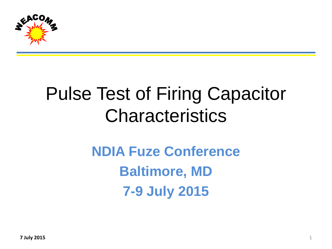

## Pulse Test of Firing Capacitor **Characteristics**

## **NDIA Fuze Conference Baltimore, MD 7-9 July 2015**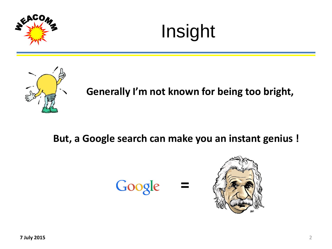





**Generally I'm not known for being too bright,**

### **But, a Google search can make you an instant genius !**

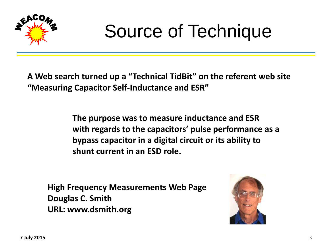

## Source of Technique

**A Web search turned up a "Technical TidBit" on the referent web site "Measuring Capacitor Self-Inductance and ESR"**

> **The purpose was to measure inductance and ESR with regards to the capacitors' pulse performance as a bypass capacitor in a digital circuit or its ability to shunt current in an ESD role.**

**High Frequency Measurements Web Page Douglas C. Smith URL: www.dsmith.org**

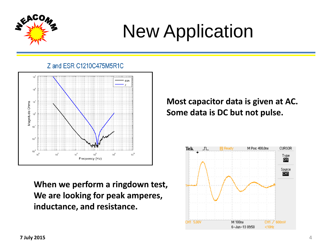

# New Application

Z and ESR C1210C475M5R1C



**When we perform a ringdown test, We are looking for peak amperes, inductance, and resistance.**

### **Most capacitor data is given at AC. Some data is DC but not pulse.**

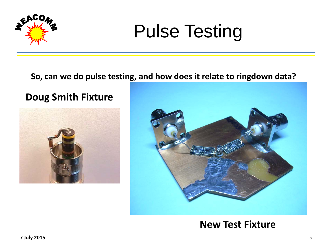

## Pulse Testing

#### **So, can we do pulse testing, and how does it relate to ringdown data?**

### **Doug Smith Fixture**





### **New Test Fixture**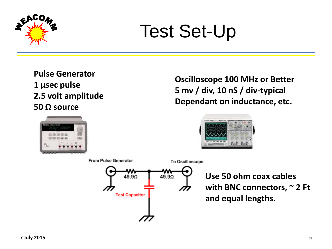

## Test Set-Up

**Pulse Generator 1 µsec pulse 2.5 volt amplitude 50 Ω source**



**Oscilloscope 100 MHz or Better 5 mv / div, 10 nS / div-typical Dependant on inductance, etc.**





**Use 50 ohm coax cables with BNC connectors, ~ 2 Ft and equal lengths.**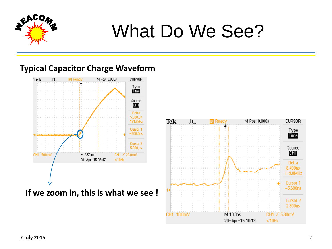

## What Do We See?

#### **Typical Capacitor Charge Waveform**



**If we zoom in, this is what we see !**

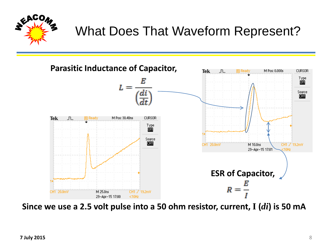

## What Does That Waveform Represent?



**Since we use a 2.5 volt pulse into a 50 ohm resistor, current, I (***di***) is 50 mA**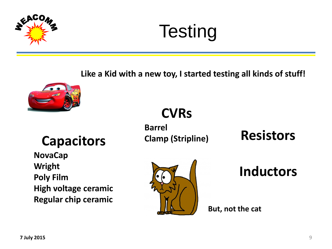

# **Testing**

**Like a Kid with a new toy, I started testing all kinds of stuff!**



### **Capacitors**

**NovaCap Wright Poly Film High voltage ceramic Regular chip ceramic**

## **CVRs**

**Barrel Clamp (Stripline)**

**Resistors**



### **Inductors**

**But, not the cat**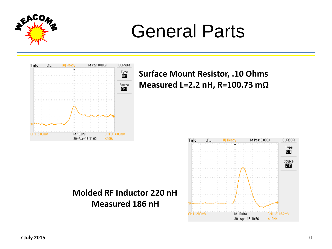

## General Parts



### **Surface Mount Resistor, .10 Ohms Measured L=2.2 nH, R=100.73 mΩ**



### **Molded RF Inductor 220 nH Measured 186 nH**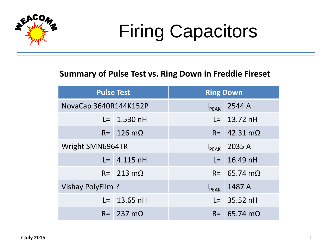

# Firing Capacitors

#### **Summary of Pulse Test vs. Ring Down in Freddie Fireset**

| <b>Pulse Test</b>     |                           | <b>Ring Down</b> |                             |
|-----------------------|---------------------------|------------------|-----------------------------|
| NovaCap 3640R144K152P |                           | $I_{PEAK}$       | 2544 A                      |
|                       | $L = 1.530$ nH            |                  | $L = 13.72$ nH              |
|                       | $R = 126 \text{ m}\Omega$ |                  | $R = 42.31 \text{ m}\Omega$ |
| Wright SMN6964TR      |                           |                  | $I_{PEAK}$ 2035 A           |
|                       | $L = 4.115$ nH            |                  | $L = 16.49$ nH              |
|                       | $R = 213 \text{ m}\Omega$ |                  | $R = 65.74 \text{ m}\Omega$ |
| Vishay PolyFilm ?     |                           | $I_{PEAK}$       | 1487 A                      |
|                       | $L = 13.65$ nH            |                  | $L = 35.52$ nH              |
|                       | $R = 237 \text{ m}\Omega$ |                  | $R = 65.74$ m $\Omega$      |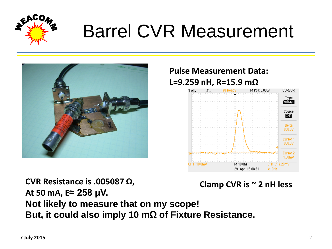

## Barrel CVR Measurement



### **Pulse Measurement Data: L=9.259 nH, R=15.9 mΩ**



**CVR Resistance is .005087 Ω, At 50 mA, E≈ 258 µV. Not likely to measure that on my scope! But, it could also imply 10 mΩ of Fixture Resistance. Clamp CVR is ~ 2 nH less**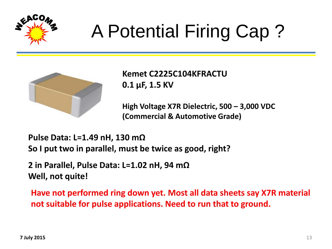

# A Potential Firing Cap ?



**Kemet C2225C104KFRACTU 0.1 µF, 1.5 KV**

**High Voltage X7R Dielectric, 500 – 3,000 VDC (Commercial & Automotive Grade)**

**Pulse Data: L=1.49 nH, 130 mΩ So I put two in parallel, must be twice as good, right?**

**2 in Parallel, Pulse Data: L=1.02 nH, 94 mΩ Well, not quite!**

**Have not performed ring down yet. Most all data sheets say X7R material not suitable for pulse applications. Need to run that to ground.**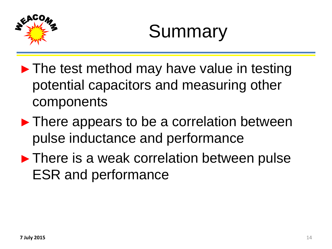

# Summary

- $\blacktriangleright$  The test method may have value in testing potential capacitors and measuring other components
- ► There appears to be a correlation between pulse inductance and performance
- ► There is a weak correlation between pulse ESR and performance